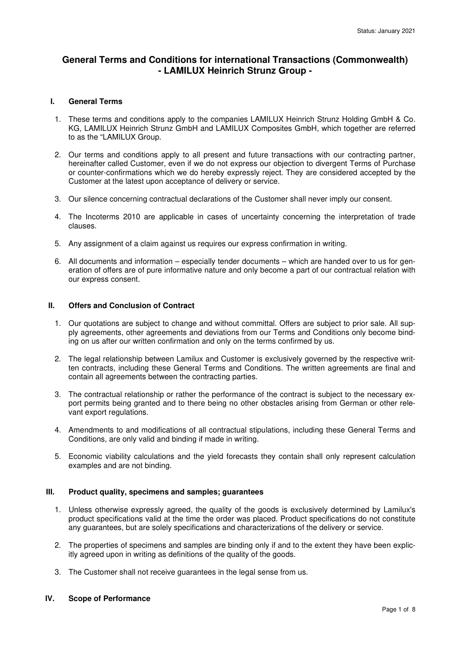# **General Terms and Conditions for international Transactions (Commonwealth) - LAMILUX Heinrich Strunz Group -**

### **I. General Terms**

- 1. These terms and conditions apply to the companies LAMILUX Heinrich Strunz Holding GmbH & Co. KG, LAMILUX Heinrich Strunz GmbH and LAMILUX Composites GmbH, which together are referred to as the "LAMILUX Group.
- 2. Our terms and conditions apply to all present and future transactions with our contracting partner, hereinafter called Customer, even if we do not express our objection to divergent Terms of Purchase or counter-confirmations which we do hereby expressly reject. They are considered accepted by the Customer at the latest upon acceptance of delivery or service.
- 3. Our silence concerning contractual declarations of the Customer shall never imply our consent.
- 4. The Incoterms 2010 are applicable in cases of uncertainty concerning the interpretation of trade clauses.
- 5. Any assignment of a claim against us requires our express confirmation in writing.
- 6. All documents and information especially tender documents which are handed over to us for generation of offers are of pure informative nature and only become a part of our contractual relation with our express consent.

## **II. Offers and Conclusion of Contract**

- 1. Our quotations are subject to change and without committal. Offers are subject to prior sale. All supply agreements, other agreements and deviations from our Terms and Conditions only become binding on us after our written confirmation and only on the terms confirmed by us.
- 2. The legal relationship between Lamilux and Customer is exclusively governed by the respective written contracts, including these General Terms and Conditions. The written agreements are final and contain all agreements between the contracting parties.
- 3. The contractual relationship or rather the performance of the contract is subject to the necessary export permits being granted and to there being no other obstacles arising from German or other relevant export regulations.
- 4. Amendments to and modifications of all contractual stipulations, including these General Terms and Conditions, are only valid and binding if made in writing.
- 5. Economic viability calculations and the yield forecasts they contain shall only represent calculation examples and are not binding.

#### **III. Product quality, specimens and samples; guarantees**

- 1. Unless otherwise expressly agreed, the quality of the goods is exclusively determined by Lamilux's product specifications valid at the time the order was placed. Product specifications do not constitute any guarantees, but are solely specifications and characterizations of the delivery or service.
- 2. The properties of specimens and samples are binding only if and to the extent they have been explicitly agreed upon in writing as definitions of the quality of the goods.
- 3. The Customer shall not receive guarantees in the legal sense from us.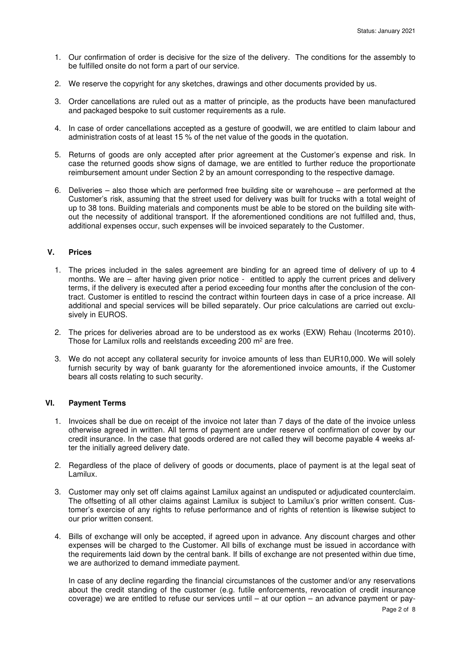- 1. Our confirmation of order is decisive for the size of the delivery. The conditions for the assembly to be fulfilled onsite do not form a part of our service.
- 2. We reserve the copyright for any sketches, drawings and other documents provided by us.
- 3. Order cancellations are ruled out as a matter of principle, as the products have been manufactured and packaged bespoke to suit customer requirements as a rule.
- 4. In case of order cancellations accepted as a gesture of goodwill, we are entitled to claim labour and administration costs of at least 15 % of the net value of the goods in the quotation.
- 5. Returns of goods are only accepted after prior agreement at the Customer's expense and risk. In case the returned goods show signs of damage, we are entitled to further reduce the proportionate reimbursement amount under Section 2 by an amount corresponding to the respective damage.
- 6. Deliveries also those which are performed free building site or warehouse are performed at the Customer's risk, assuming that the street used for delivery was built for trucks with a total weight of up to 38 tons. Building materials and components must be able to be stored on the building site without the necessity of additional transport. If the aforementioned conditions are not fulfilled and, thus, additional expenses occur, such expenses will be invoiced separately to the Customer.

## **V. Prices**

- 1. The prices included in the sales agreement are binding for an agreed time of delivery of up to 4 months. We are – after having given prior notice - entitled to apply the current prices and delivery terms, if the delivery is executed after a period exceeding four months after the conclusion of the contract. Customer is entitled to rescind the contract within fourteen days in case of a price increase. All additional and special services will be billed separately. Our price calculations are carried out exclusively in EUROS.
- 2. The prices for deliveries abroad are to be understood as ex works (EXW) Rehau (Incoterms 2010). Those for Lamilux rolls and reelstands exceeding 200  $m<sup>2</sup>$  are free.
- 3. We do not accept any collateral security for invoice amounts of less than EUR10,000. We will solely furnish security by way of bank guaranty for the aforementioned invoice amounts, if the Customer bears all costs relating to such security.

## **VI. Payment Terms**

- 1. Invoices shall be due on receipt of the invoice not later than 7 days of the date of the invoice unless otherwise agreed in written. All terms of payment are under reserve of confirmation of cover by our credit insurance. In the case that goods ordered are not called they will become payable 4 weeks after the initially agreed delivery date.
- 2. Regardless of the place of delivery of goods or documents, place of payment is at the legal seat of Lamilux.
- 3. Customer may only set off claims against Lamilux against an undisputed or adjudicated counterclaim. The offsetting of all other claims against Lamilux is subject to Lamilux's prior written consent. Customer's exercise of any rights to refuse performance and of rights of retention is likewise subject to our prior written consent.
- 4. Bills of exchange will only be accepted, if agreed upon in advance. Any discount charges and other expenses will be charged to the Customer. All bills of exchange must be issued in accordance with the requirements laid down by the central bank. If bills of exchange are not presented within due time, we are authorized to demand immediate payment.

In case of any decline regarding the financial circumstances of the customer and/or any reservations about the credit standing of the customer (e.g. futile enforcements, revocation of credit insurance coverage) we are entitled to refuse our services until – at our option – an advance payment or pay-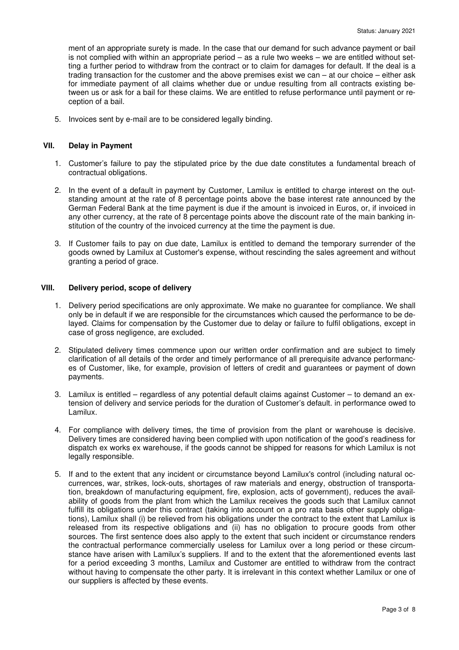ment of an appropriate surety is made. In the case that our demand for such advance payment or bail is not complied with within an appropriate period – as a rule two weeks – we are entitled without setting a further period to withdraw from the contract or to claim for damages for default. If the deal is a trading transaction for the customer and the above premises exist we can – at our choice – either ask for immediate payment of all claims whether due or undue resulting from all contracts existing between us or ask for a bail for these claims. We are entitled to refuse performance until payment or reception of a bail.

5. Invoices sent by e-mail are to be considered legally binding.

## **VII. Delay in Payment**

- 1. Customer's failure to pay the stipulated price by the due date constitutes a fundamental breach of contractual obligations.
- 2. In the event of a default in payment by Customer, Lamilux is entitled to charge interest on the outstanding amount at the rate of 8 percentage points above the base interest rate announced by the German Federal Bank at the time payment is due if the amount is invoiced in Euros, or, if invoiced in any other currency, at the rate of 8 percentage points above the discount rate of the main banking institution of the country of the invoiced currency at the time the payment is due.
- 3. If Customer fails to pay on due date, Lamilux is entitled to demand the temporary surrender of the goods owned by Lamilux at Customer's expense, without rescinding the sales agreement and without granting a period of grace.

#### **VIII. Delivery period, scope of delivery**

- 1. Delivery period specifications are only approximate. We make no guarantee for compliance. We shall only be in default if we are responsible for the circumstances which caused the performance to be delayed. Claims for compensation by the Customer due to delay or failure to fulfil obligations, except in case of gross negligence, are excluded.
- 2. Stipulated delivery times commence upon our written order confirmation and are subject to timely clarification of all details of the order and timely performance of all prerequisite advance performances of Customer, like, for example, provision of letters of credit and guarantees or payment of down payments.
- 3. Lamilux is entitled regardless of any potential default claims against Customer to demand an extension of delivery and service periods for the duration of Customer's default. in performance owed to Lamilux.
- 4. For compliance with delivery times, the time of provision from the plant or warehouse is decisive. Delivery times are considered having been complied with upon notification of the good's readiness for dispatch ex works ex warehouse, if the goods cannot be shipped for reasons for which Lamilux is not legally responsible.
- 5. If and to the extent that any incident or circumstance beyond Lamilux's control (including natural occurrences, war, strikes, lock-outs, shortages of raw materials and energy, obstruction of transportation, breakdown of manufacturing equipment, fire, explosion, acts of government), reduces the availability of goods from the plant from which the Lamilux receives the goods such that Lamilux cannot fulfill its obligations under this contract (taking into account on a pro rata basis other supply obligations), Lamilux shall (i) be relieved from his obligations under the contract to the extent that Lamilux is released from its respective obligations and (ii) has no obligation to procure goods from other sources. The first sentence does also apply to the extent that such incident or circumstance renders the contractual performance commercially useless for Lamilux over a long period or these circumstance have arisen with Lamilux's suppliers. If and to the extent that the aforementioned events last for a period exceeding 3 months, Lamilux and Customer are entitled to withdraw from the contract without having to compensate the other party. It is irrelevant in this context whether Lamilux or one of our suppliers is affected by these events.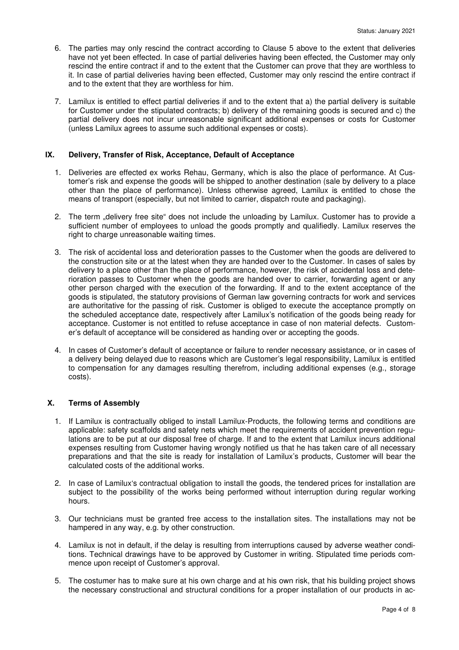- 6. The parties may only rescind the contract according to Clause 5 above to the extent that deliveries have not yet been effected. In case of partial deliveries having been effected, the Customer may only rescind the entire contract if and to the extent that the Customer can prove that they are worthless to it. In case of partial deliveries having been effected, Customer may only rescind the entire contract if and to the extent that they are worthless for him.
- 7. Lamilux is entitled to effect partial deliveries if and to the extent that a) the partial delivery is suitable for Customer under the stipulated contracts; b) delivery of the remaining goods is secured and c) the partial delivery does not incur unreasonable significant additional expenses or costs for Customer (unless Lamilux agrees to assume such additional expenses or costs).

## **IX. Delivery, Transfer of Risk, Acceptance, Default of Acceptance**

- 1. Deliveries are effected ex works Rehau, Germany, which is also the place of performance. At Customer's risk and expense the goods will be shipped to another destination (sale by delivery to a place other than the place of performance). Unless otherwise agreed, Lamilux is entitled to chose the means of transport (especially, but not limited to carrier, dispatch route and packaging).
- 2. The term "delivery free site" does not include the unloading by Lamilux. Customer has to provide a sufficient number of employees to unload the goods promptly and qualifiedly. Lamilux reserves the right to charge unreasonable waiting times.
- 3. The risk of accidental loss and deterioration passes to the Customer when the goods are delivered to the construction site or at the latest when they are handed over to the Customer. In cases of sales by delivery to a place other than the place of performance, however, the risk of accidental loss and deterioration passes to Customer when the goods are handed over to carrier, forwarding agent or any other person charged with the execution of the forwarding. If and to the extent acceptance of the goods is stipulated, the statutory provisions of German law governing contracts for work and services are authoritative for the passing of risk. Customer is obliged to execute the acceptance promptly on the scheduled acceptance date, respectively after Lamilux's notification of the goods being ready for acceptance. Customer is not entitled to refuse acceptance in case of non material defects. Customer's default of acceptance will be considered as handing over or accepting the goods.
- 4. In cases of Customer's default of acceptance or failure to render necessary assistance, or in cases of a delivery being delayed due to reasons which are Customer's legal responsibility, Lamilux is entitled to compensation for any damages resulting therefrom, including additional expenses (e.g., storage costs).

## **X. Terms of Assembly**

- 1. If Lamilux is contractually obliged to install Lamilux-Products, the following terms and conditions are applicable: safety scaffolds and safety nets which meet the requirements of accident prevention regulations are to be put at our disposal free of charge. If and to the extent that Lamilux incurs additional expenses resulting from Customer having wrongly notified us that he has taken care of all necessary preparations and that the site is ready for installation of Lamilux's products, Customer will bear the calculated costs of the additional works.
- 2. In case of Lamilux's contractual obligation to install the goods, the tendered prices for installation are subject to the possibility of the works being performed without interruption during regular working hours.
- 3. Our technicians must be granted free access to the installation sites. The installations may not be hampered in any way, e.g. by other construction.
- 4. Lamilux is not in default, if the delay is resulting from interruptions caused by adverse weather conditions. Technical drawings have to be approved by Customer in writing. Stipulated time periods commence upon receipt of Customer's approval.
- 5. The costumer has to make sure at his own charge and at his own risk, that his building project shows the necessary constructional and structural conditions for a proper installation of our products in ac-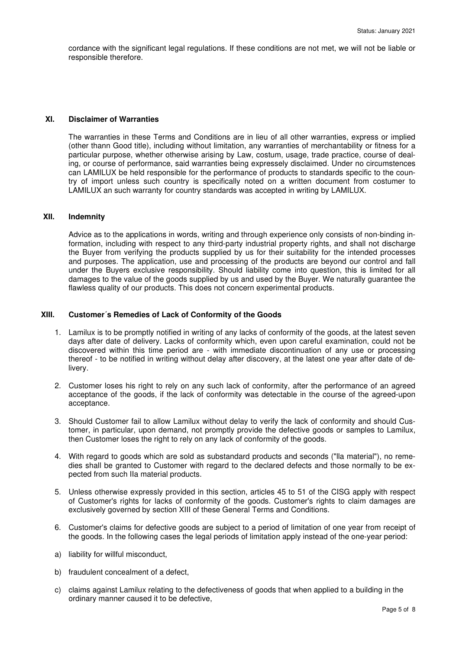cordance with the significant legal regulations. If these conditions are not met, we will not be liable or responsible therefore.

#### **XI. Disclaimer of Warranties**

The warranties in these Terms and Conditions are in lieu of all other warranties, express or implied (other thann Good title), including without limitation, any warranties of merchantability or fitness for a particular purpose, whether otherwise arising by Law, costum, usage, trade practice, course of dealing, or course of performance, said warranties being expressely disclaimed. Under no circumstences can LAMILUX be held responsible for the performance of products to standards specific to the country of import unless such country is specifically noted on a written document from costumer to LAMILUX an such warranty for country standards was accepted in writing by LAMILUX.

## **XII. Indemnity**

Advice as to the applications in words, writing and through experience only consists of non-binding information, including with respect to any third-party industrial property rights, and shall not discharge the Buyer from verifying the products supplied by us for their suitability for the intended processes and purposes. The application, use and processing of the products are beyond our control and fall under the Buyers exclusive responsibility. Should liability come into question, this is limited for all damages to the value of the goods supplied by us and used by the Buyer. We naturally guarantee the flawless quality of our products. This does not concern experimental products.

#### **XIII. Customer´s Remedies of Lack of Conformity of the Goods**

- 1. Lamilux is to be promptly notified in writing of any lacks of conformity of the goods, at the latest seven days after date of delivery. Lacks of conformity which, even upon careful examination, could not be discovered within this time period are - with immediate discontinuation of any use or processing thereof - to be notified in writing without delay after discovery, at the latest one year after date of delivery.
- 2. Customer loses his right to rely on any such lack of conformity, after the performance of an agreed acceptance of the goods, if the lack of conformity was detectable in the course of the agreed-upon acceptance.
- 3. Should Customer fail to allow Lamilux without delay to verify the lack of conformity and should Customer, in particular, upon demand, not promptly provide the defective goods or samples to Lamilux, then Customer loses the right to rely on any lack of conformity of the goods.
- 4. With regard to goods which are sold as substandard products and seconds ("lla material"), no remedies shall be granted to Customer with regard to the declared defects and those normally to be expected from such IIa material products.
- 5. Unless otherwise expressly provided in this section, articles 45 to 51 of the CISG apply with respect of Customer's rights for lacks of conformity of the goods. Customer's rights to claim damages are exclusively governed by section XIII of these General Terms and Conditions.
- 6. Customer's claims for defective goods are subject to a period of limitation of one year from receipt of the goods. In the following cases the legal periods of limitation apply instead of the one-year period:
- a) liability for willful misconduct,
- b) fraudulent concealment of a defect,
- c) claims against Lamilux relating to the defectiveness of goods that when applied to a building in the ordinary manner caused it to be defective,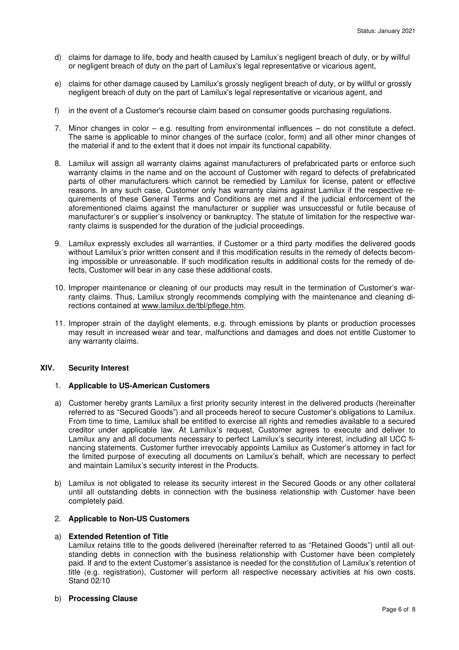- d) claims for damage to life, body and health caused by Lamilux's negligent breach of duty, or by willful or negligent breach of duty on the part of Lamilux's legal representative or vicarious agent,
- e) claims for other damage caused by Lamilux's grossly negligent breach of duty, or by willful or grossly negligent breach of duty on the part of Lamilux's legal representative or vicarious agent, and
- f) in the event of a Customer's recourse claim based on consumer goods purchasing regulations.
- 7. Minor changes in color e.g. resulting from environmental influences do not constitute a defect. The same is applicable to minor changes of the surface (color, form) and all other minor changes of the material if and to the extent that it does not impair its functional capability.
- 8. Lamilux will assign all warranty claims against manufacturers of prefabricated parts or enforce such warranty claims in the name and on the account of Customer with regard to defects of prefabricated parts of other manufacturers which cannot be remedied by Lamilux for license, patent or effective reasons. In any such case, Customer only has warranty claims against Lamilux if the respective requirements of these General Terms and Conditions are met and if the judicial enforcement of the aforementioned claims against the manufacturer or supplier was unsuccessful or futile because of manufacturer's or supplier's insolvency or bankruptcy. The statute of limitation for the respective warranty claims is suspended for the duration of the judicial proceedings.
- 9. Lamilux expressly excludes all warranties, if Customer or a third party modifies the delivered goods without Lamilux's prior written consent and if this modification results in the remedy of defects becoming impossible or unreasonable. If such modification results in additional costs for the remedy of defects, Customer will bear in any case these additional costs.
- 10. Improper maintenance or cleaning of our products may result in the termination of Customer's warranty claims. Thus, Lamilux strongly recommends complying with the maintenance and cleaning directions contained at www.lamilux.de/tbl/pflege.htm.
- 11. Improper strain of the daylight elements, e.g. through emissions by plants or production processes may result in increased wear and tear, malfunctions and damages and does not entitle Customer to any warranty claims.

## **XIV. Security Interest**

#### 1. **Applicable to US-American Customers**

- a) Customer hereby grants Lamilux a first priority security interest in the delivered products (hereinafter referred to as "Secured Goods") and all proceeds hereof to secure Customer's obligations to Lamilux. From time to time, Lamilux shall be entitled to exercise all rights and remedies available to a secured creditor under applicable law. At Lamilux's request, Customer agrees to execute and deliver to Lamilux any and all documents necessary to perfect Lamilux's security interest, including all UCC financing statements. Customer further irrevocably appoints Lamilux as Customer's attorney in fact for the limited purpose of executing all documents on Lamilux's behalf, which are necessary to perfect and maintain Lamilux's security interest in the Products.
- b) Lamilux is not obligated to release its security interest in the Secured Goods or any other collateral until all outstanding debts in connection with the business relationship with Customer have been completely paid.

## 2. **Applicable to Non-US Customers**

#### a) **Extended Retention of Title**

Lamilux retains title to the goods delivered (hereinafter referred to as "Retained Goods") until all outstanding debts in connection with the business relationship with Customer have been completely paid. If and to the extent Customer's assistance is needed for the constitution of Lamilux's retention of title (e.g. registration), Customer will perform all respective necessary activities at his own costs. Stand 02/10

#### b) **Processing Clause**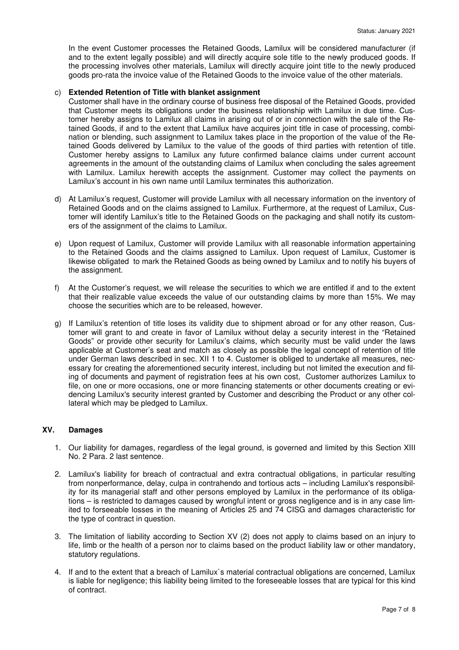In the event Customer processes the Retained Goods, Lamilux will be considered manufacturer (if and to the extent legally possible) and will directly acquire sole title to the newly produced goods. If the processing involves other materials, Lamilux will directly acquire joint title to the newly produced goods pro-rata the invoice value of the Retained Goods to the invoice value of the other materials.

### c) **Extended Retention of Title with blanket assignment**

Customer shall have in the ordinary course of business free disposal of the Retained Goods, provided that Customer meets its obligations under the business relationship with Lamilux in due time. Customer hereby assigns to Lamilux all claims in arising out of or in connection with the sale of the Retained Goods, if and to the extent that Lamilux have acquires joint title in case of processing, combination or blending, such assignment to Lamilux takes place in the proportion of the value of the Retained Goods delivered by Lamilux to the value of the goods of third parties with retention of title. Customer hereby assigns to Lamilux any future confirmed balance claims under current account agreements in the amount of the outstanding claims of Lamilux when concluding the sales agreement with Lamilux. Lamilux herewith accepts the assignment. Customer may collect the payments on Lamilux's account in his own name until Lamilux terminates this authorization.

- d) At Lamilux's request, Customer will provide Lamilux with all necessary information on the inventory of Retained Goods and on the claims assigned to Lamilux. Furthermore, at the request of Lamilux, Customer will identify Lamilux's title to the Retained Goods on the packaging and shall notify its customers of the assignment of the claims to Lamilux.
- e) Upon request of Lamilux, Customer will provide Lamilux with all reasonable information appertaining to the Retained Goods and the claims assigned to Lamilux. Upon request of Lamilux, Customer is likewise obligated to mark the Retained Goods as being owned by Lamilux and to notify his buyers of the assignment.
- f) At the Customer's request, we will release the securities to which we are entitled if and to the extent that their realizable value exceeds the value of our outstanding claims by more than 15%. We may choose the securities which are to be released, however.
- g) If Lamilux's retention of title loses its validity due to shipment abroad or for any other reason, Customer will grant to and create in favor of Lamilux without delay a security interest in the "Retained Goods" or provide other security for Lamilux's claims, which security must be valid under the laws applicable at Customer's seat and match as closely as possible the legal concept of retention of title under German laws described in sec. XII 1 to 4. Customer is obliged to undertake all measures, necessary for creating the aforementioned security interest, including but not limited the execution and filing of documents and payment of registration fees at his own cost, Customer authorizes Lamilux to file, on one or more occasions, one or more financing statements or other documents creating or evidencing Lamilux's security interest granted by Customer and describing the Product or any other collateral which may be pledged to Lamilux.

## **XV. Damages**

- 1. Our liability for damages, regardless of the legal ground, is governed and limited by this Section XIII No. 2 Para. 2 last sentence.
- 2. Lamilux's liability for breach of contractual and extra contractual obligations, in particular resulting from nonperformance, delay, culpa in contrahendo and tortious acts – including Lamilux's responsibility for its managerial staff and other persons employed by Lamilux in the performance of its obligations – is restricted to damages caused by wrongful intent or gross negligence and is in any case limited to forseeable losses in the meaning of Articles 25 and 74 CISG and damages characteristic for the type of contract in question.
- 3. The limitation of liability according to Section XV (2) does not apply to claims based on an injury to life, limb or the health of a person nor to claims based on the product liability law or other mandatory, statutory regulations.
- 4. If and to the extent that a breach of Lamilux`s material contractual obligations are concerned, Lamilux is liable for negligence; this liability being limited to the foreseeable losses that are typical for this kind of contract.